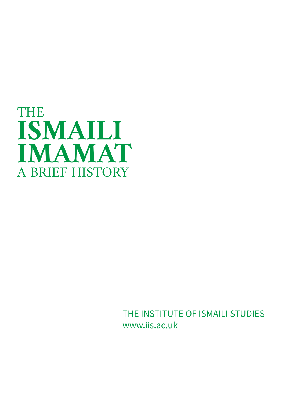

THE INSTITUTE OF ISMAILI STUDIES www.iis.ac.uk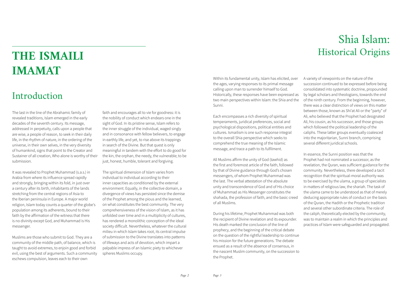The spiritual dimension of Islam varies from individual to individual according to their inner capacities as conditioned by the external environment. Equally, in the collective domain, a divergence of views has persisted since the demise of the Prophet among the pious and the learned, on what constitutes the best community. The very comprehensiveness of the vision of Islam, as it has unfolded over time and in a multiplicity of cultures, has rendered a monolithic conception of the ideal society difficult. Nevertheless, whatever the cultural milieu in which Islam takes root, its central impulse of submission to the Divine translates into patterns of lifeways and acts of devotion, which impart a palpable impress of an Islamic piety to whichever spheres Muslims occupy.

### **THE ISMAILI IMAMAT**

#### Introduction

The last in the line of the Abrahamic family of revealed traditions, Islam emerged in the early decades of the seventh century. Its message, addressed in perpetuity, calls upon a people that are wise, a people of reason, to seek in their daily life, in the rhythm of nature, in the ordering of the universe, in their own selves, in the very diversity of humankind, signs that point to the Creator and Sustainer of all creation, Who alone is worthy of their submission.

It was revealed to Prophet Muhammad (s.a.s.) in Arabia from where its influence spread rapidly and strongly, bringing within its fold, in just over a century after its birth, inhabitants of the lands stretching from the central regions of Asia to the Iberian peninsula in Europe. A major world religion, Islam today counts a quarter of the globe's population among its adherents, bound to their faith by the affirmation of the witness that there is no divinity except God, and Muhammad is His messenger.

Muslims are those who submit to God. They are a community of the middle path, of balance, which is taught to avoid extremes, to enjoin good and forbid evil, using the best of arguments. Such a community eschews compulsion, leaves each to their own

faith and encourages all to vie for goodness: it is the nobility of conduct which endears one in the sight of God. In its pristine sense, Islam refers to the inner struggle of the individual, waged singly and in consonance with fellow believers, to engage in earthly life, and yet, to rise above its trappings in search of the Divine. But that quest is only meaningful in tandem with the effort to do good for the kin, the orphan, the needy, the vulnerable; to be just, honest, humble, tolerant and forgiving.

*Page 2*

Within its fundamental unity, Islam has elicited, over the ages, varying responses to its primal message calling upon man to surrender himself to God. Historically, these responses have been expressed as two main perspectives within Islam: the Shia and the Sunni.

Each encompasses a rich diversity of spiritual temperaments, juridical preferences, social and psychological dispositions, political entities and cultures. Ismailism is one such response integral to the overall Shia perspective which seeks to comprehend the true meaning of the Islamic message, and trace a path to its fulfilment.

All Muslims affirm the unity of God (tawhid) as the first and foremost article of the faith, followed by that of Divine guidance through God's chosen messengers, of whom Prophet Muhammad was the last. The verbal attestation of the absolute unity and transcendence of God and of His choice of Muhammad as His Messenger constitutes the shahada, the profession of faith, and the basic creed of all Muslims.

During his lifetime, Prophet Muhammad was both the recipient of Divine revelation and its expounder. His death marked the conclusion of the line of prophecy, and the beginning of the critical debate on the question of the rightful leadership to continue his mission for the future generations. The debate ensued as a result of the absence of consensus, in the nascent Muslim community, on the succession to the Prophet.

*Page 3*

#### Shia Islam: Historical Origins

A variety of viewpoints on the nature of the succession continued to be expressed before being consolidated into systematic doctrine, propounded by legal scholars and theologians, towards the end of the ninth century. From the beginning, however, there was a clear distinction of views on this matter between those, known as Shi'at Ali or the "party" of Ali, who believed that the Prophet had designated Ali, his cousin, as his successor, and those groups which followed the political leadership of the caliphs. These latter groups eventually coalesced into the majoritarian, Sunni branch, comprising several different juridical schools.

In essence, the Sunni position was that the Prophet had not nominated a successor, as the revelation, the Quran, was sufficient guidance for the community. Nevertheless, there developed a tacit recognition that the spiritual-moral authority was to be exercised by the ulama, a group of specialists in matters of religious law, the shariah. The task of the ulama came to be understood as that of merely deducing appropriate rules of conduct on the basis of the Quran, the Hadith or the Prophetic tradition and several other subordinate criteria. The role of the caliph, theoretically elected by the community, was to maintain a realm in which the principles and practices of Islam were safeguarded and propagated.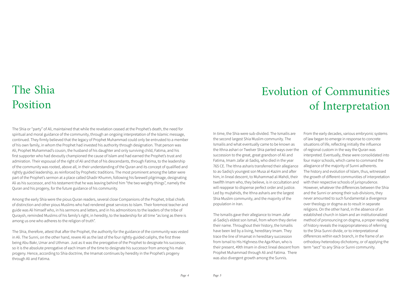The Shia or "party" of Ali, maintained that while the revelation ceased at the Prophet's death, the need for spiritual and moral guidance of the community, through an ongoing interpretation of the Islamic message, continued. They firmly believed that the legacy of Prophet Muhammad could only be entrusted to a member of his own family, in whom the Prophet had invested his authority through designation. That person was Ali, Prophet Muhammad's cousin, the husband of his daughter and only surviving child, Fatima, and his first supporter who had devoutly championed the cause of Islam and had earned the Prophet's trust and admiration. Their espousal of the right of Ali and that of his descendants, through Fatima, to the leadership of the community was rooted, above all, in their understanding of the Quran and its concept of qualified and rightly guided leadership, as reinforced by Prophetic traditions. The most prominent among the latter were part of the Prophet's sermon at a place called Ghadir Khumm, following his farewell pilgrimage, designating Ali as his successor, and his testament that he was leaving behind him "the two weighty things", namely the Quran and his progeny, for the future guidance of his community.

Among the early Shia were the pious Quran readers, several close Companions of the Prophet, tribal chiefs of distinction and other pious Muslims who had rendered great services to Islam. Their foremost teacher and guide was Ali himself who, in his sermons and letters, and in his admonitions to the leaders of the tribe of Quraysh, reminded Muslims of his family's right, in heredity, to the leadership for all time "as long as there is among us one who adheres to the religion of truth".

The Shia, therefore, attest that after the Prophet, the authority for the guidance of the community was vested in Ali. The Sunni, on the other hand, revere Ali as the last of the four rightly-guided caliphs, the first three being Abu Bakr, Umar and Uthman. Just as it was the prerogative of the Prophet to designate his successor, so it is the absolute prerogative of each Imam of the time to designate his successor from among his male progeny. Hence, according to Shia doctrine, the Imamat continues by heredity in the Prophet's progeny through Ali and Fatima.

## The Shia Position

Prophet Muhammad through Ali and Fatima. There was also divergent growth among the Sunnis.  

In time, the Shia were sub-divided. The Ismailis are the second largest Shia Muslim community. The Ismailis and what eventually came to be known as the Ithna ashari or Twelver Shia parted ways over the succession to the great, great grandson of Ali and Fatima, Imam Jafar al-Sadiq, who died in the year 765 CE. The Ithna asharis transferred their allegiance to as-Sadiq's youngest son Musa al-Kazim and after him, in lineal descent, to Muhammad al-Mahdi, their twelfth Imam who, they believe, is in occultation and will reappear to dispense perfect order and justice. Led by mujtahids, the Ithna asharis are the largest Shia Muslim community, and the majority of the population in Iran. The Ismailis gave their allegiance to Imam Jafar al-Sadiq's eldest son Ismail, from whom they derive their name. Throughout their history, the Ismailis have been led by a living, hereditary Imam. They trace the line of Imamat in hereditary succession from Ismail to His Highness the Aga Khan, who is their present, 49th Imam in direct lineal descent from From the early decades, various embryonic systems of law began to emerge in response to concrete situations of life, reflecting initially the influence of regional custom in the way the Quran was interpreted. Eventually, these were consolidated into four major schools, which came to command the allegiance of the majority of Sunni adherents. The history and evolution of Islam, thus, witnessed the growth of different communities of interpretation with their respective schools of jurisprudence. However, whatever the differences between the Shia and the Sunni or among their sub-divisions, they never amounted to such fundamental a divergence over theology or dogma as to result in separate religions. On the other hand, in the absence of an established church in Islam and an institutionalized method of pronouncing on dogma, a proper reading of history reveals the inappropriateness of referring to the Shia-Sunni divide, or to interpretational differences within each branch, in the frame of an orthodoxy-heterodoxy dichotomy, or of applying the term "sect" to any Shia or Sunni community.

### Evolution of Communities of Interpretation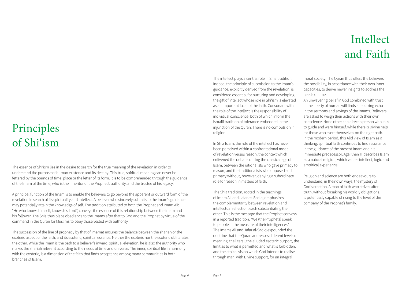The essence of Shi'ism lies in the desire to search for the true meaning of the revelation in order to understand the purpose of human existence and its destiny. This true, spiritual meaning can never be fettered by the bounds of time, place or the letter of its form. It is to be comprehended through the guidance of the Imam of the time, who is the inheritor of the Prophet's authority, and the trustee of his legacy.

A principal function of the Imam is to enable the believers to go beyond the apparent or outward form of the revelation in search of its spirituality and intellect. A believer who sincerely submits to the Imam's guidance may potentially attain the knowledge of self. The tradition attributed to both the Prophet and Imam Ali: "He who knows himself, knows his Lord", conveys the essence of this relationship between the Imam and his follower. The Shia thus place obedience to the Imams after that to God and the Prophet by virtue of the command in the Quran for Muslims to obey those vested with authority.

The succession of the line of prophecy by that of Imamat ensures the balance between the shariah or the exoteric aspect of the faith, and its esoteric, spiritual essence. Neither the exoteric nor the esoteric obliterates the other. While the Imam is the path to a believer's inward, spiritual elevation, he is also the authority who makes the shariah relevant according to the needs of time and universe. The inner, spiritual life in harmony with the exoteric, is a dimension of the faith that finds acceptance among many communities in both branches of Islam.

#### Principles of Shi'ism

*Page 6*

#### Intellect and Faith

The intellect plays a central role in Shia tradition. Indeed, the principle of submission to the Imam's guidance, explicitly derived from the revelation, is considered essential for nurturing and developing the gift of intellect whose role in Shi'ism is elevated as an important facet of the faith. Consonant with the role of the intellect is the responsibility of individual conscience, both of which inform the Ismaili tradition of tolerance embedded in the injunction of the Quran: There is no compulsion in religion.

In Shia Islam, the role of the intellect has never been perceived within a confrontational mode of revelation versus reason, the context which enlivened the debate, during the classical age of Islam, between the rationalists who gave primacy to reason, and the traditionalists who opposed such primacy without, however, denying a subordinate role for reason in matters of faith.

The Shia tradition, rooted in the teachings of Imam Ali and Jafar as-Sadiq, emphasizes the complementarity between revelation and intellectual reflection, each substantiating the other. This is the message that the Prophet conveys in a reported tradition: "We (the Prophets) speak to people in the measure of their intelligences". The Imams Ali and Jafar al-Sadiq expounded the doctrine that the Quran addresses different levels of meaning: the literal, the alluded esoteric purport, the limit as to what is permitted and what is forbidden, and the ethical vision which God intends to realise through man, with Divine support, for an integral

moral society. The Quran thus offers the believers the possibility, in accordance with their own inner capacities, to derive newer insights to address the needs of time.

An unwavering belief in God combined with trust in the liberty of human will finds a recurring echo in the sermons and sayings of the Imams. Believers are asked to weigh their actions with their own conscience. None other can direct a person who fails to guide and warn himself, while there is Divine help for those who exert themselves on the right path. In the modern period, this Alid view of Islam as a thinking, spiritual faith continues to find resonance in the guidance of the present Imam and his immediate predecessor. Aga Khan III describes Islam as a natural religion, which values intellect, logic and empirical experience.  

Religion and science are both endeavours to understand, in their own ways, the mystery of God's creation. A man of faith who strives after truth, without forsaking his worldly obligations, is potentially capable of rising to the level of the company of the Prophet's family.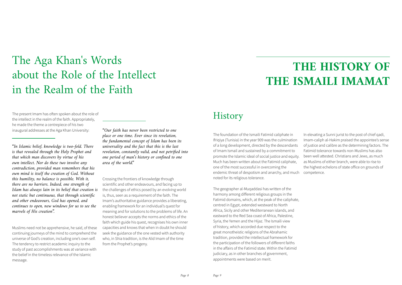The present Imam has often spoken about the role of the intellect in the realm of the faith. Appropriately, he made the theme a centrepiece of his two inaugural addresses at the Aga Khan University:

*"In Islamic belief, knowledge is two-fold. There is that revealed through the Holy Prophet and that which man discovers by virtue of his own intellect. Nor do these two involve any contradiction, provided man remembers that his own mind is itself the creation of God. Without this humility, no balance is possible. With it, there are no barriers. Indeed, one strength of Islam has always lain in its belief that creation is not static but continuous, that through scientific and other endeavours, God has opened, and continues to open, new windows for us to see the marvels of His creation".*

Muslims need not be apprehensive, he said, of these continuing journeys of the mind to comprehend the universe of God's creation, including one's own self. The tendency to restrict academic inquiry to the study of past accomplishments was at variance with the belief in the timeless relevance of the Islamic message.

*"Our faith has never been restricted to one place or one time. Ever since its revelation, the fundamental concept of Islam has been its universality and the fact that this is the last revelation, constantly valid, and not petrified into one period of man's history or confined to one area of the world."*

Crossing the frontiers of knowledge through scientific and other endeavours, and facing up to the challenges of ethics posed by an evolving world is, thus, seen as a requirement of the faith. The Imam's authoritative guidance provides a liberating, enabling framework for an individual's quest for meaning and for solutions to the problems of life. An honest believer accepts the norms and ethics of the faith which guide his quest, recognises his own inner capacities and knows that when in doubt he should seek the guidance of the one vested with authority who, in Shia tradition, is the Alid Imam of the time from the Prophet's progeny.

#### The Aga Khan's Words about the Role of the Intellect in the Realm of the Faith

*Page 8*

The foundation of the Ismaili Fatimid caliphate in Ifriqiya (Tunisia) in the year 909 was the culmination of a long development, directed by the descendants of Imam Ismail and sustained by a commitment to promote the Islamic ideal of social justice and equity. Much has been written about the Fatimid caliphate, one of the most successful in overcoming the endemic threat of despotism and anarchy, and much noted for its religious tolerance. In elevating a Sunni jurist to the post of chief qadi, Imam-caliph al-Hakim praised the appointee's sense of justice and calibre as the determining factors. The Fatimid tolerance towards non-Muslims has also been well attested. Christians and Jews, as much as Muslims of either branch, were able to rise to the highest echelons of state office on grounds of competence.

The geographer al-Muqaddasi has written of the harmony among different religious groups in the Fatimid domains, which, at the peak of the caliphate, centred in Egypt, extended westward to North Africa, Sicily and other Mediterranean islands, and eastward to the Red Sea coast of Africa, Palestine, Syria, the Yemen and the Hijaz. The Ismaili view of history, which accorded due respect to the great monotheistic religions of the Abrahamic tradition, provided the intellectual framework for the participation of the followers of different faiths in the affairs of the Fatimid state. Within the Fatimid judiciary, as in other branches of government, appointments were based on merit.

### **THE HISTORY OF THE ISMAILI IMAMAT**

#### **History**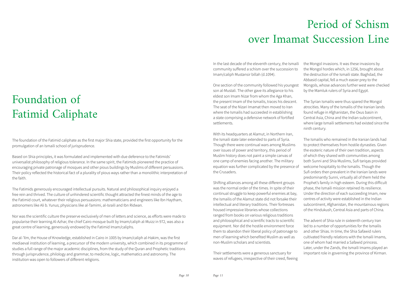The foundation of the Fatimid caliphate as the first major Shia state, provided the first opportunity for the promulgation of an Ismaili school of jurisprudence.  

Based on Shia principles, it was formulated and implemented with due deference to the Fatimids' universalist philosophy of religious tolerance. In the same spirit, the Fatimids pioneered the practice of encouraging private patronage of mosques and other pious buildings by Muslims of different persuasions. Their policy reflected the historical fact of a plurality of pious ways rather than a monolithic interpretation of the faith.

The Fatimids generously encouraged intellectual pursuits. Natural and philosophical inquiry enjoyed a free rein and thrived. The culture of unhindered scientific thought attracted the finest minds of the age to the Fatimid court, whatever their religious persuasions: mathematicians and engineers like Ibn Haytham, astronomers like Ali b. Yunus; physicians like al-Tamimi, al-Israili and Ibn Ridwan.  

Nor was the scientific culture the preserve exclusively of men of letters and science, as efforts were made to popularise their learning.Al-Azhar, the chief Cairo mosque built by Imam/caliph al-Muizz in 972, was also a great centre of learning, generously endowed by the Fatimid Imam/caliphs.  

Dar al-'Ilm, the House of Knowledge, established in Cairo in 1005 by Imam/caliph al-Hakim, was the first mediaeval institution of learning, a precursor of the modern university, which combined in its programme of studies a full range of the major academic disciplines, from the study of the Quran and Prophetic traditions through jurisprudence, philology and grammar, to medicine, logic, mathematics and astronomy. The institution was open to followers of different religions.

#### Foundation of Fatimid Caliphate

### Period of Schism over Imamat Succession Line

In the last decade of the eleventh century, the Ismaili

community suffered a schism over the succession to Imam/caliph Mustansir billah (d.1094).  

One section of the community followed his youngest son al-Mustali. The other gave its allegiance to his eldest son Imam Nizar from whom the Aga Khan, the present Imam of the Ismailis, traces his descent. The seat of the Nizari Imamat then moved to Iran where the Ismailis had succeeded in establishing a state comprising a defensive network of fortified settlements.  

With its headquarters at Alamut, in Northern Iran, the Ismaili state later extended to parts of Syria. Though there were continual wars among Muslims over issues of power and territory, this period of Muslim history does not paint a simple canvas of one camp of enemies facing another. The military equation was further complicated by the presence of the Crusaders.  

Shifting alliances among all these different groups was the normal order of the times. In spite of their continual struggle to keep powerful enemies at bay, the Ismailis of the Alamut state did not forsake their intellectual and literary traditions. Their fortresses housed impressive libraries whose collections ranged from books on various religious traditions and philosophical and scientific tracts to scientific equipment. Nor did the hostile environment force them to abandon their liberal policy of patronage to men of learning which benefited Muslim as well as non-Muslim scholars and scientists.  

Their settlements were a generous sanctuary for waves of refugees, irrespective of their creed, fleeing

the Mongol invasions. It was these invasions by the Mongol hordes which, in 1256, brought about the destruction of the Ismaili state. Baghdad, the Abbasid capital, fell a much easier prey to the Mongols, whose advances further west were checked by the Mamluk rulers of Syria and Egypt.  

The Syrian Ismailis were thus spared the Mongol atrocities. Many of the Ismailis of the Iranian lands found refuge in Afghanistan, the Oxus basin in Central Asia, China and the Indian subcontinent, where large Ismaili settlements had existed since the ninth century.

The Ismailis who remained in the Iranian lands had to protect themselves from hostile dynasties. Given the esoteric nature of their own tradition, aspects of which they shared with communities among both Sunni and Shia Muslims, Sufi tariqas provided welcome hospitality to the Ismailis. Though the Sufi orders then prevalent in the Iranian lands were predominantly Sunni, virtually all of them held the Prophet's family in high esteem. During this difficult phase, the Ismaili mission retained its resilience. Under the direction of each succeeding Imam, new centres of activity were established in the Indian subcontinent, Afghanistan, the mountainous regions of the Hindukush, Central Asia and parts of China.

The advent of Shia rule in sixteenth century Iran led to a number of opportunities for the Ismailis and other Shias. In time, the Shia Safawid rulers cultivated friendly relations with the Ismaili Imams, one of whom had married a Safawid princess. Later, under the Zands, the Ismaili Imams played an important role in governing the province of Kirman.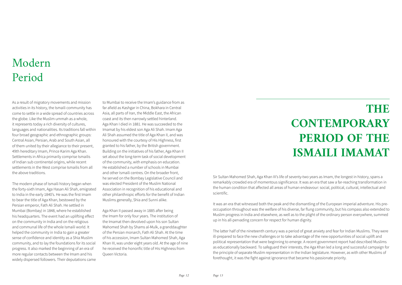As a result of migratory movements and mission activities in its history, the Ismaili community has come to settle in a wide spread of countries across the globe. Like the Muslim ummah as a whole, it represents today a rich diversity of cultures, languages and nationalities. Its traditions fall within four broad geographic and ethnographic groups: Central Asian, Persian, Arab and South Asian, all of them united by their allegiance to their present, 49th hereditary Imam, Prince Karim Aga Khan. Settlements in Africa primarily comprise Ismailis of Indian sub continental origins, while recent settlements in the West comprise Ismailis from all the above traditions.

The modern phase of Ismaili history began when the forty-sixth Imam, Aga Hasan Ali Shah, emigrated to India in the early 1840's. He was the first Imam to bear the title of Aga Khan, bestowed by the Persian emperor, Fath Ali Shah. He settled in Mumbai (Bombay) in 1848, where he established his headquarters. The event had an uplifting effect on the community in India and on the religious and communal life of the whole Ismaili world. It helped the community in India to gain a greater sense of confidence and identity as a Shia Muslim community, and to lay the foundations for its social progress. It also marked the beginning of an era of more regular contacts between the Imam and his widely dispersed followers. Their deputations came

to Mumbai to receive the Imam's guidance from as far afield as Kashgar in China, Bokhara in Central Asia, all parts of Iran, the Middle East, the African coast and its then narrowly settled hinterland. Aga Khan I died in 1881. He was succeeded to the Imamat by his eldest son Aga Ali Shah. Imam Aga Ali Shah assumed the title of Aga Khan II, and was honoured with the courtesy of His Highness, first granted to his father, by the British government. Building on the initiatives of his father, Aga Khan II set about the long-term task of social development of the community, with emphasis on education. He established a number of schools in Mumbai and other Ismaili centres. On the broader front, he served on the Bombay Legislative Council and was elected President of the Muslim National Association in recognition of his educational and other philanthropic efforts for the benefit of Indian Muslims generally, Shia and Sunni alike.

Aga Khan II passed away in 1885 after being the Imam for only four years. The institution of the Imamat then devolved upon his son Sultan Mahomed Shah by Shams al-Mulk, a granddaughter of the Persian monarch, Fath Ali Shah. At the time of his accession, Imam Sultan Mahomed Shah, Aga Khan III, was under eight years old. At the age of nine he received the honorific title of His Highness from Queen Victoria.

#### Modern Period

# **THE CONTEMPORARY PERIOD OF THE ISMAILI IMAMAT**

Sir Sultan Mahomed Shah, Aga Khan III's life of seventy-two years as Imam, the longest in history, spans a remarkably crowded era of momentous significance. It was an era that saw a far-reaching transformation in the human condition that affected all areas of human endeavour: social, political, cultural, intellectual and scientific.

It was an era that witnessed both the peak and the dismantling of the European imperial adventure. His preoccupation throughout was the welfare of his diverse, far flung community, but his compass also extended to Muslim progress in India and elsewhere, as well as to the plight of the ordinary person everywhere, summed up in his all-pervading concern for respect for human dignity.

The latter half of the nineteenth century was a period of great anxiety and fear for Indian Muslims. They were ill-prepared to face the new challenges or to take advantage of the new opportunities of social uplift and political representation that were beginning to emerge. A recent government report had described Muslims as educationally backward. To safeguard their interests, the Aga Khan led a long and successful campaign for the principle of separate Muslim representation in the Indian legislature. However, as with other Muslims of forethought, it was the fight against ignorance that became his passionate priority.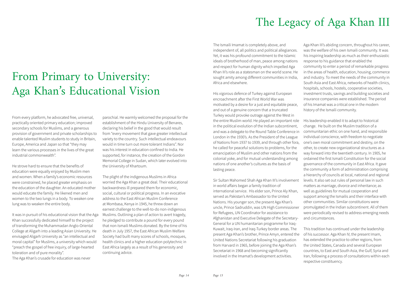#### From Primary to University: Aga Khan's Educational Vision

From every platform, he advocated free, universal, practically oriented primary education; improved secondary schools for Muslims, and a generous provision of government and private scholarships to enable talented Muslim students to study in Britain, Europe, America and Japan so that "they may learn the various processes in the lives of the great industrial commonwealth".

He strove hard to ensure that the benefits of education were equally enjoyed by Muslim men and women. When a family's economic resources were constrained, he placed greater emphasis on the education of the daughter. An educated mother would educate the family. He likened men and women to the two lungs in a body. To weaken one lung was to weaken the entire body.

It was in pursuit of his educational vision that the Aga Khan successfully dedicated himself to the project of transforming the Muhammadan Anglo-Oriental College at Aligarh into a leading Asian University. He envisaged Aligarh University as "an intellectual and moral capital" for Muslims, a university which would "preach the gospel of free inquiry, of large-hearted toleration and of pure morality".

The Aga Khan's crusade for education was never

parochial. He warmly welcomed the proposal for the establishment of the Hindu University of Benares, declaring his belief in the good that would result from "every movement that gave greater intellectual variety to the country. Such intellectual endeavours would in time turn out more tolerant Indians". Nor was his interest in education confined to India. He supported, for instance, the creation of the Gordon Memorial College in Sudan, which later evolved into the University of Khartoum.

The plight of the indigenous Muslims in Africa worried the Aga Khan a great deal. Their educational backwardness ill prepared them for economic, social, cultural or political progress. In an evocative address to the East African Muslim Conference at Mombasa, Kenya in 1945, he threw down an earnest challenge to the well-to-do non-indigenous Muslims. Outlining a plan of action to avert tragedy, he pledged to contribute a pound for every pound that non-Ismaili Muslims donated. By the time of his death in July 1957, the East African Muslim Welfare Society had built many scores of schools, mosques, health clinics and a higher education polytechnic in East Africa largely as a result of his generosity and continuing advice.

*Page 14*

Turkey would provoke outrage against the West in the entire Muslim world. He played an important role in the political evolution of the Indian subcontinent, and was a delegate to the Round Table Conference in London in the 1930's. As the President of the League of Nations from 1937 to 1939, and through other fora, he called for peaceful solutions to problems, for the emancipation of Muslim and other nations from the colonial yoke, and for mutual understanding among nations of one another's cultures as the basis of lasting peace.

The Ismaili Imamat is completely above, and independent of, all politics and political allegiances. Yet, it was his profound commitment to the Islamic ideals of brotherhood of man, peace among nations and respect for human dignity which impelled Aga Khan III's role as a statesman on the world scene. He sought amity among different communities in India, Africa and elsewhere.   His vigorous defence of Turkey against European encroachment after the First World War was motivated by a desire for a just and equitable peace, and out of a genuine concern that a truncated Aga Khan III's abiding concern, throughout his career, was the welfare of his own Ismaili community. It was his inspiring leadership as much as their enthusiastic response to his guidance that enabled the community to enter a period of remarkable progress in the areas of health, education, housing, commerce and industry. To meet the needs of the community in South Asia and East Africa, networks of health clinics, hospitals, schools, hostels, cooperative societies, investment trusts, savings and building societies and insurance companies were established. The period of his Imamat was a critical one in the modern history of the Ismaili community.

Sir Sultan Mahomed Shah Aga Khan III's involvement in world affairs began a family tradition of international service.  His elder son, Prince Aly Khan, served as Pakistan's Ambassador to the United Nations. His younger son, the present Aga Khan's uncle, Prince Sadruddin, was UN High Commissioner for Refugees, UN Coordinator for assistance to Afghanistan and Executive Delegate of the Secretary-General for a UN humanitarian programme for Iraq-Kuwait, Iraq-Iran, and Iraq-Turkey border areas. The present Aga Khan's brother, Prince Amyn, entered the United Nations Secretariat following his graduation from Harvard in 1965, before joining the Aga Khan's Secretariat in 1968 and becoming significantly involved in the Imamat's development activities. levels. It also set out rules of personal law in such matters as marriage, divorce and inheritance; as well as guidelines for mutual cooperation and support among the Ismailis and their interface with other communities. Similar constitutions were promulgated in the Indian subcontinent. All of them were periodically revised to address emerging needs and circumstances. This tradition has continued under the leadership of his successor. Aga Khan IV, the present Imam, has extended the practice to other regions, from the United States, Canada and several European countries, to East and South Asia, the Gulf, Syria and Iran, following a process of consultations within each respective constituency.

His leadership enabled it to adapt to historical change. He built on the Muslim tradition of a communitarian ethic on one hand, and responsible individual conscience, with freedom to negotiate one's own moral commitment and destiny, on the other, to create new organizational structures as a way forward into the twentieth century. In 1905, he ordained the first Ismaili Constitution for the social governance of the community in East Africa. It gave the community a form of administration comprising a hierarchy of councils at local, national and regional

### The Legacy of Aga Khan III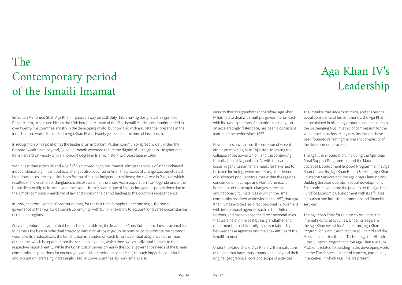Sir Sultan Mahomed Shah Aga Khan III passed away on 11th July, 1957, having designated his grandson, Prince Karim, to succeed him as the 49th hereditary Imam of the Shia Ismaili Muslim community settled in over twenty-five countries, mostly in the developing world, but now also with a substantial presence in the industrialised world. Prince Karim Aga Khan IV was twenty years old at the time of his accession.

In recognition of his position as the leader of an important Muslim community spread widely within the Commonwealth and beyond, Queen Elizabeth extended to him the dignity of His Highness. He graduated from Harvard University with an honours degree in Islamic history two years later in 1959.

Within less than a decade and a half of his succeeding to the Imamat, almost the whole of Africa achieved independence. Significant political changes also occurred in Asia. The process of change was punctuated by serious crises: the expulsion from Burma of its non-indigenous residents; the civil war in Pakistan which resulted in the creation of Bangladesh; the expulsion of the entire Asian population from Uganda under the brutal dictatorship of Idi Amin; and the exodus from Mozambique of its non-indigenous populations due to the almost complete breakdown of law and order in the period leading to the country's independence.

In 1986, he promulgated a Constitution that, for the first time, brought under one aegis, the social governance of the worldwide Ismaili community, with built-in flexibility to account for diverse circumstances of different regions.  

Served by volunteers appointed by, and accountable to, the Imam, the Constitution functions as an enabler to harness the best in individual creativity, within an ethos of group responsibility, to promote the common weal. Like its predecessors, the Constitution is founded on each Ismaili's spiritual allegiance to the Imam of the time, which is separate from the secular allegiance, which they owe as individual citizens to their respective national entity. While the Constitution serves primarily the social governance needs of the Ismaili community, its provisions for encouraging amicable resolution of conflicts, through impartial conciliation and arbitration, are being increasingly used, in some countries, by non-Ismailis also.

#### The Contemporary period of the Ismaili Imamat

#### More so than his grandfather, therefore, Aga Khan IV has had to deal with multiple governments, each with its own aspirations. Adaptation to change, at an acceleratingly faster pace, has been a consistent

feature of the period since 1957.  

Newer crises have arisen: the eruption of violent ethnic animosities, as in Tajikistan, following the collapse of the Soviet Union, and the continuing brutalization of Afghanistan. As with the earlier crises, urgent humanitarian measures have had to be taken including, when necessary, resettlement of dislocated populations either within the regions concerned or in Europe and North America. It is because of these rapid changes in the local and national circumstances in which the Ismaili community has lived worldwide since 1957, that Aga Khan IV has avoided his direct personal involvement with international agencies such as the United Nations, and has replaced the direct personal roles that were held in the past by his grandfather and other members of his family by new relationships between these agencies and the apex entities of the Ismaili Imamat.

Under the leadership of Aga Khan IV, the institutions of the Imamat have, thus, expanded far beyond their original geographical core and scope of activities.

#### Aga Khan IV's Leadership

The impulse that underpins them, and shapes the social conscience of his community, the Aga Khan has explained in his many pronouncements, remains the unchanging Muslim ethic of compassion for the vulnerable in society. Many new institutions have been founded reflecting the present complexity of the development process.

The Aga Khan Foundation, including the Aga Khan Rural Support Programmes, and the Mountain Societies Development Support Programme, the Aga Khan University, Aga Khan Health Services, Aga Khan Education Services and the Aga Khan Planning and Building Services operate in social development. Economic activities are the province of the Aga Khan Fund for Economic Development with its affiliates in tourism and industrial promotion and financial services.  

The Aga Khan Trust for Culture co-ordinates the Imamat's cultural activities. Under its aegis are the Aga Khan Award for Architecture, Aga Khan Program for Islamic Architecture at Harvard and the Massachusetts Institute of Technology, the Historic Cities Support Program and the Aga Khan Museum. Problems related to building in the developing world are the Trust's special focus of concern, particularly in societies in which Muslims are present.